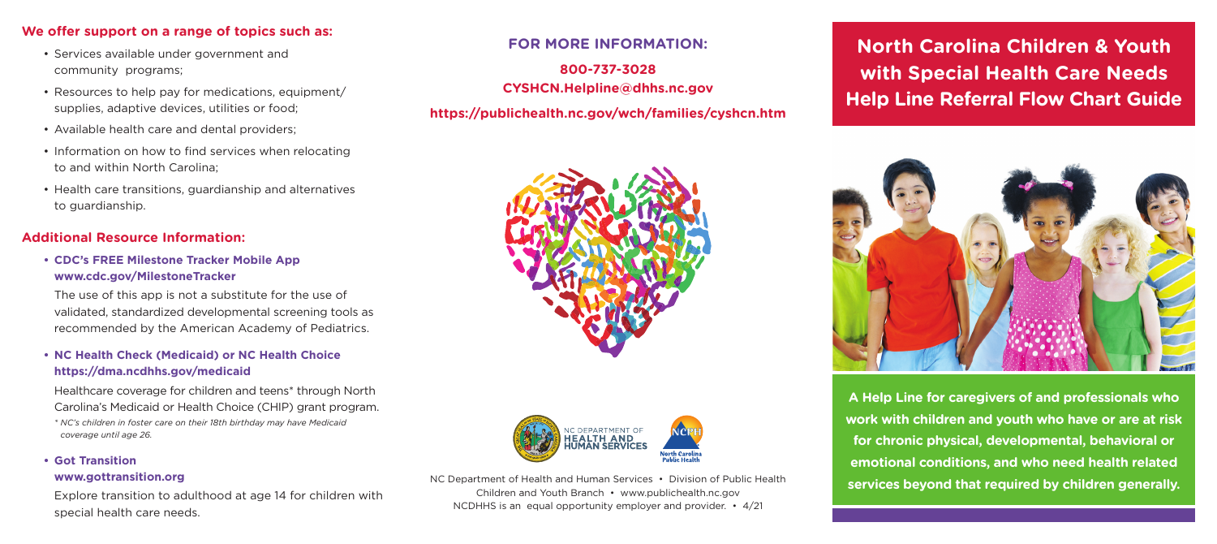## **We offer support on a range of topics such as:**

- Services available under government and community programs;
- Resources to help pay for medications, equipment/ supplies, adaptive devices, utilities or food;
- Available health care and dental providers;
- Information on how to find services when relocating to and within North Carolina;
- Health care transitions, guardianship and alternatives to guardianship.

# **Additional Resource Information:**

**• CDC's FREE Milestone Tracker Mobile App [www.cdc.gov/MilestoneTracker](http://www.cdc.gov/MilestoneTracker)**

The use of this app is not a substitute for the use of validated, standardized developmental screening tools as recommended by the American Academy of Pediatrics.

### **• NC Health Check (Medicaid) or NC Health Choice <https://dma.ncdhhs.gov/medicaid>**

Healthcare coverage for children and teens<sup>\*</sup> through North Carolina's Medicaid or Health Choice (CHIP) grant program.

 *\* NC's children in foster care on their 18th birthday may have Medicaid coverage until age 26.*

# **• Got Transition**

#### **[www.gottransition.org](http://www.gottransition.org)**

Explore transition to adulthood at age 14 for children with special health care needs.

## **FOR MORE INFORMATION:**

**800-737-3028 [CYSHCN.Helpline@dhhs.nc.gov](mailto:CYSHCN.Helpline@dhhs.nc.gov)**

# **<https://publichealth.nc.gov/wch/families/cyshcn.htm>**





NC Department of Health and Human Services • Division of Public Health Children and Youth Branch • [www.publichealth.nc.gov](http://www.publichealth.nc.gov)  NCDHHS is an equal opportunity employer and provider. • 4/21

**North Carolina Children & Youth with Special Health Care Needs Help Line Referral Flow Chart Guide** 



**A Help Line for caregivers of and professionals who work with children and youth who have or are at risk for chronic physical, developmental, behavioral or emotional conditions, and who need health related services beyond that required by children generally.**